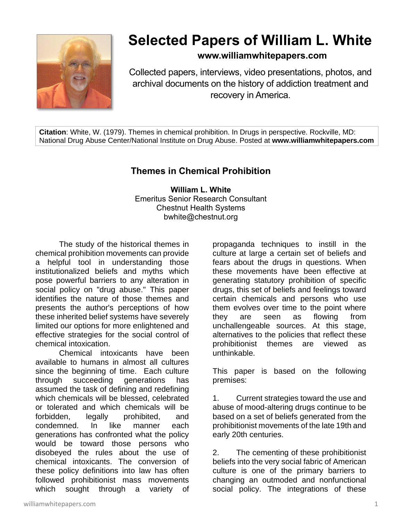

# **Selected Papers of William L. White**

# **www.williamwhitepapers.com**

Collected papers, interviews, video presentations, photos, and archival documents on the history of addiction treatment and recovery in America.

**Citation**: White, W. (1979). Themes in chemical prohibition. In Drugs in perspective. Rockville, MD: National Drug Abuse Center/National Institute on Drug Abuse. Posted at **www.williamwhitepapers.com**

# **Themes in Chemical Prohibition**

**William L. White** Emeritus Senior Research Consultant Chestnut Health Systems bwhite@chestnut.org

The study of the historical themes in chemical prohibition movements can provide a helpful tool in understanding those institutionalized beliefs and myths which pose powerful barriers to any alteration in social policy on "drug abuse." This paper identifies the nature of those themes and presents the author's perceptions of how these inherited belief systems have severely limited our options for more enlightened and effective strategies for the social control of chemical intoxication.

Chemical intoxicants have been available to humans in almost all cultures since the beginning of time. Each culture through succeeding generations has assumed the task of defining and redefining which chemicals will be blessed, celebrated or tolerated and which chemicals will be forbidden, legally prohibited, and condemned. In like manner each generations has confronted what the policy would be toward those persons who disobeyed the rules about the use of chemical intoxicants. The conversion of these policy definitions into law has often followed prohibitionist mass movements which sought through a variety of

propaganda techniques to instill in the culture at large a certain set of beliefs and fears about the drugs in questions. When these movements have been effective at generating statutory prohibition of specific drugs, this set of beliefs and feelings toward certain chemicals and persons who use them evolves over time to the point where they are seen as flowing from unchallengeable sources. At this stage, alternatives to the policies that reflect these prohibitionist themes are viewed as unthinkable.

This paper is based on the following premises:

1. Current strategies toward the use and abuse of mood-altering drugs continue to be based on a set of beliefs generated from the prohibitionist movements of the late 19th and early 20th centuries.

2. The cementing of these prohibitionist beliefs into the very social fabric of American culture is one of the primary barriers to changing an outmoded and nonfunctional social policy. The integrations of these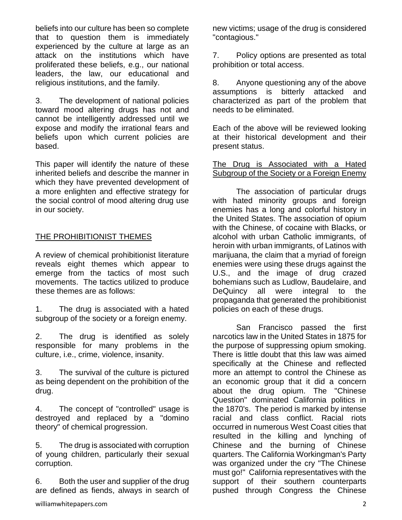beliefs into our culture has been so complete that to question them is immediately experienced by the culture at large as an attack on the institutions which have proliferated these beliefs, e.g., our national leaders, the law, our educational and religious institutions, and the family.

3. The development of national policies toward mood altering drugs has not and cannot be intelligently addressed until we expose and modify the irrational fears and beliefs upon which current policies are based.

This paper will identify the nature of these inherited beliefs and describe the manner in which they have prevented development of a more enlighten and effective strategy for the social control of mood altering drug use in our society.

# **THE PROHIBITIONIST THEMES**

A review of chemical prohibitionist literature reveals eight themes which appear to emerge from the tactics of most such movements. The tactics utilized to produce these themes are as follows:

1. The drug is associated with a hated subgroup of the society or a foreign enemy.

2. The drug is identified as solely responsible for many problems in the culture, i.e., crime, violence, insanity.

3. The survival of the culture is pictured as being dependent on the prohibition of the drug.

4. The concept of "controlled" usage is destroyed and replaced by a "domino theory" of chemical progression.

5. The drug is associated with corruption of young children, particularly their sexual corruption.

6. Both the user and supplier of the drug are defined as fiends, always in search of 7. Policy options are presented as total prohibition or total access.

8. Anyone questioning any of the above assumptions is bitterly attacked and characterized as part of the problem that needs to be eliminated.

Each of the above will be reviewed looking at their historical development and their present status.

#### The Drug is Associated with a Hated Subgroup of the Society or a Foreign Enemy

The association of particular drugs with hated minority groups and foreign enemies has a long and colorful history in the United States. The association of opium with the Chinese, of cocaine with Blacks, or alcohol with urban Catholic immigrants, of heroin with urban immigrants, of Latinos with marijuana, the claim that a myriad of foreign enemies were using these drugs against the U.S., and the image of drug crazed bohemians such as Ludlow, Baudelaire, and DeQuincy all were integral to the propaganda that generated the prohibitionist policies on each of these drugs.

San Francisco passed the first narcotics law in the United States in 1875 for the purpose of suppressing opium smoking. There is little doubt that this law was aimed specifically at the Chinese and reflected more an attempt to control the Chinese as an economic group that it did a concern about the drug opium. The "Chinese Question" dominated California politics in the 1870's. The period is marked by intense racial and class conflict. Racial riots occurred in numerous West Coast cities that resulted in the killing and lynching of Chinese and the burning of Chinese quarters. The California Workingman's Party was organized under the cry "The Chinese must go!" California representatives with the support of their southern counterparts pushed through Congress the Chinese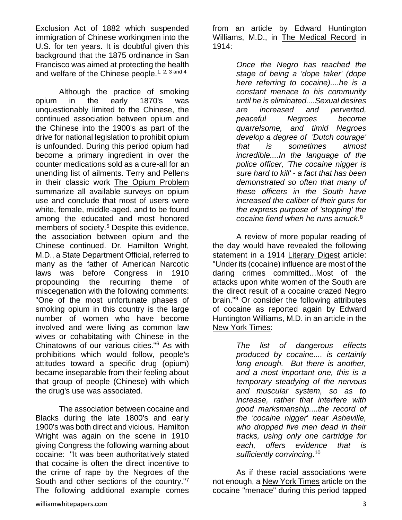Exclusion Act of 1882 which suspended immigration of Chinese workingmen into the U.S. for ten years. It is doubtful given this background that the 1875 ordinance in San Francisco was aimed at protecting the health and welfare of the Chinese people.<sup>1, 2, 3 and 4</sup>

Although the practice of smoking opium in the early 1870's was unquestionably limited to the Chinese, the continued association between opium and the Chinese into the 1900's as part of the drive for national legislation to prohibit opium is unfounded. During this period opium had become a primary ingredient in over the counter medications sold as a cure-all for an unending list of ailments. Terry and Pellens in their classic work The Opium Problem summarize all available surveys on opium use and conclude that most of users were white, female, middle-aged, and to be found among the educated and most honored members of society.<sup>5</sup> Despite this evidence, the association between opium and the Chinese continued. Dr. Hamilton Wright, M.D., a State Department Official, referred to many as the father of American Narcotic laws was before Congress in 1910 propounding the recurring theme of miscegenation with the following comments: "One of the most unfortunate phases of smoking opium in this country is the large number of women who have become involved and were living as common law wives or cohabitating with Chinese in the Chinatowns of our various cities."<sup>6</sup> As with prohibitions which would follow, people's attitudes toward a specific drug (opium) became inseparable from their feeling about that group of people (Chinese) with which the drug's use was associated.

The association between cocaine and Blacks during the late 1800's and early 1900's was both direct and vicious. Hamilton Wright was again on the scene in 1910 giving Congress the following warning about cocaine: "It was been authoritatively stated that cocaine is often the direct incentive to the crime of rape by the Negroes of the South and other sections of the country."<sup>7</sup> The following additional example comes

from an article by Edward Huntington Williams, M.D., in The Medical Record in 1914:

> *Once the Negro has reached the stage of being a 'dope taker' (dope here referring to cocaine)....he is a constant menace to his community until he is eliminated....Sexual desires are increased and perverted, peaceful Negroes become quarrelsome, and timid Negroes develop a degree of 'Dutch courage' that is sometimes almost incredible....In the language of the police officer, 'The cocaine nigger is sure hard to kill' - a fact that has been demonstrated so often that many of these officers in the South have increased the caliber of their guns for the express purpose of 'stopping' the cocaine fiend when he runs amuck*. 8

A review of more popular reading of the day would have revealed the following statement in a 1914 Literary Digest article: "Under its (cocaine) influence are most of the daring crimes committed...Most of the attacks upon white women of the South are the direct result of a cocaine crazed Negro brain."<sup>9</sup> Or consider the following attributes of cocaine as reported again by Edward Huntington Williams, M.D. in an article in the New York Times:

> *The list of dangerous effects produced by cocaine.... is certainly long enough. But there is another, and a most important one, this is a temporary steadying of the nervous and muscular system, so as to increase, rather that interfere with good marksmanship....the record of the 'cocaine nigger' near Asheville, who dropped five men dead in their tracks, using only one cartridge for each, offers evidence that is sufficiently convincing*. 10

As if these racial associations were not enough, a New York Times article on the cocaine "menace" during this period tapped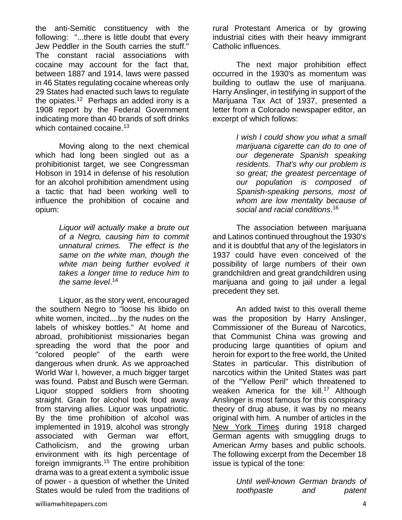the anti-Semitic constituency with the following: "...there is little doubt that every Jew Peddler in the South carries the stuff." The constant racial associations with cocaine may account for the fact that, between 1887 and 1914, laws were passed in 46 States regulating cocaine whereas only 29 States had enacted such laws to regulate the opiates.<sup>12</sup> Perhaps an added irony is a 1908 report by the Federal Government indicating more than 40 brands of soft drinks which contained cocaine.<sup>13</sup>

Moving along to the next chemical which had long been singled out as a prohibitionist target, we see Congressman Hobson in 1914 in defense of his resolution for an alcohol prohibition amendment using a tactic that had been working well to influence the prohibition of cocaine and opium:

> *Liquor will actually make a brute out of a Negro, causing him to commit unnatural crimes. The effect is the same on the white man, though the white man being further evolved it takes a longer time to reduce him to the same level*. 14

Liquor, as the story went, encouraged the southern Negro to "loose his libido on white women, incited....by the nudes on the labels of whiskey bottles." At home and abroad, prohibitionist missionaries began spreading the word that the poor and "colored people" of the earth were dangerous when drunk. As we approached World War I, however, a much bigger target was found. Pabst and Busch were German. Liquor stopped soldiers from shooting straight. Grain for alcohol took food away from starving allies. Liquor was unpatriotic. By the time prohibition of alcohol was implemented in 1919, alcohol was strongly associated with German war effort, Catholicism, and the growing urban environment with its high percentage of foreign immigrants.<sup>15</sup> The entire prohibition drama was to a great extent a symbolic issue of power - a question of whether the United States would be ruled from the traditions of rural Protestant America or by growing industrial cities with their heavy immigrant Catholic influences.

The next major prohibition effect occurred in the 1930's as momentum was building to outlaw the use of marijuana. Harry Anslinger, in testifying in support of the Marijuana Tax Act of 1937, presented a letter from a Colorado newspaper editor, an excerpt of which follows:

> *I wish I could show you what a small marijuana cigarette can do to one of our degenerate Spanish speaking residents. That's why our problem is so great; the greatest percentage of our population is composed of Spanish-speaking persons, most of whom are low mentality because of social and racial conditions*. 16

The association between marijuana and Latinos continued throughout the 1930's and it is doubtful that any of the legislators in 1937 could have even conceived of the possibility of large numbers of their own grandchildren and great grandchildren using marijuana and going to jail under a legal precedent they set.

An added twist to this overall theme was the proposition by Harry Anslinger, Commissioner of the Bureau of Narcotics, that Communist China was growing and producing large quantities of opium and heroin for export to the free world, the United States in particular. This distribution of narcotics within the United States was part of the "Yellow Peril" which threatened to weaken America for the kill.<sup>17</sup> Although Anslinger is most famous for this conspiracy theory of drug abuse, it was by no means original with him. A number of articles in the New York Times during 1918 charged German agents with smuggling drugs to American Army bases and public schools. The following excerpt from the December 18 issue is typical of the tone:

> *Until well-known German brands of toothpaste and patent*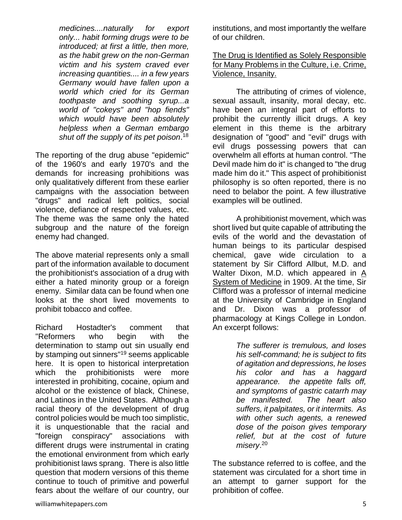*medicines....naturally for export only... habit forming drugs were to be introduced; at first a little, then more, as the habit grew on the non-German victim and his system craved ever increasing quantities.... in a few years Germany would have fallen upon a world which cried for its German toothpaste and soothing syrup...a world of "cokeys" and "hop fiends" which would have been absolutely helpless when a German embargo shut off the supply of its pet poison*. 18

The reporting of the drug abuse "epidemic" of the 1960's and early 1970's and the demands for increasing prohibitions was only qualitatively different from these earlier campaigns with the association between "drugs" and radical left politics, social violence, defiance of respected values, etc. The theme was the same only the hated subgroup and the nature of the foreign enemy had changed.

The above material represents only a small part of the information available to document the prohibitionist's association of a drug with either a hated minority group or a foreign enemy. Similar data can be found when one looks at the short lived movements to prohibit tobacco and coffee.

Richard Hostadter's comment that "Reformers who begin with the determination to stamp out sin usually end by stamping out sinners"<sup>19</sup> seems applicable here. It is open to historical interpretation which the prohibitionists were more interested in prohibiting, cocaine, opium and alcohol or the existence of black, Chinese, and Latinos in the United States. Although a racial theory of the development of drug control policies would be much too simplistic, it is unquestionable that the racial and "foreign conspiracy" associations with different drugs were instrumental in crating the emotional environment from which early prohibitionist laws sprang. There is also little question that modern versions of this theme continue to touch of primitive and powerful fears about the welfare of our country, our

institutions, and most importantly the welfare of our children.

The Drug is Identified as Solely Responsible for Many Problems in the Culture, i.e. Crime, Violence, Insanity.

The attributing of crimes of violence, sexual assault, insanity, moral decay, etc. have been an integral part of efforts to prohibit the currently illicit drugs. A key element in this theme is the arbitrary designation of "good" and "evil" drugs with evil drugs possessing powers that can overwhelm all efforts at human control. "The Devil made him do it" is changed to "the drug made him do it." This aspect of prohibitionist philosophy is so often reported, there is no need to belabor the point. A few illustrative examples will be outlined.

A prohibitionist movement, which was short lived but quite capable of attributing the evils of the world and the devastation of human beings to its particular despised chemical, gave wide circulation to a statement by Sir Clifford Allbut, M.D. and Walter Dixon, M.D. which appeared in A System of Medicine in 1909. At the time, Sir Clifford was a professor of internal medicine at the University of Cambridge in England and Dr. Dixon was a professor of pharmacology at Kings College in London. An excerpt follows:

> *The sufferer is tremulous, and loses his self-command; he is subject to fits of agitation and depressions, he loses his color and has a haggard appearance. the appetite falls off, and symptoms of gastric catarrh may be manifested. The heart also suffers, it palpitates, or it intermits. As with other such agents, a renewed dose of the poison gives temporary relief, but at the cost of future misery*. 20

The substance referred to is coffee, and the statement was circulated for a short time in an attempt to garner support for the prohibition of coffee.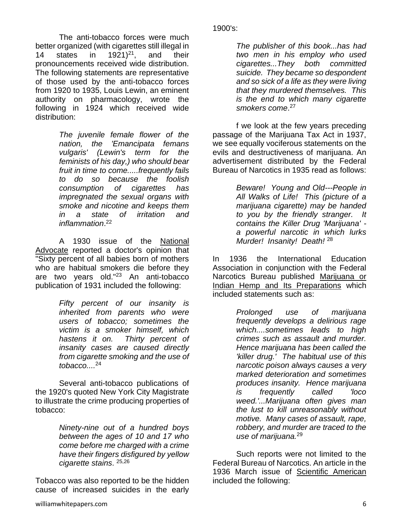The anti-tobacco forces were much better organized (with cigarettes still illegal in 14 states in  $1921$ <sup>21</sup>, and their pronouncements received wide distribution. The following statements are representative of those used by the anti-tobacco forces from 1920 to 1935, Louis Lewin, an eminent authority on pharmacology, wrote the following in 1924 which received wide distribution:

> *The juvenile female flower of the nation, the 'Emancipata femans vulgaris' (Lewin's term for the feminists of his day,) who should bear fruit in time to come.....frequently fails to do so because the foolish consumption of cigarettes has impregnated the sexual organs with smoke and nicotine and keeps them in a state of irritation and inflammation*. 22

A 1930 issue of the National Advocate reported a doctor's opinion that "Sixty percent of all babies born of mothers who are habitual smokers die before they are two years old."<sup>23</sup> An anti-tobacco publication of 1931 included the following:

> *Fifty percent of our insanity is inherited from parents who were users of tobacco; sometimes the victim is a smoker himself, which hastens it on. Thirty percent of insanity cases are caused directly from cigarette smoking and the use of tobacco....*<sup>24</sup>

Several anti-tobacco publications of the 1920's quoted New York City Magistrate to illustrate the crime producing properties of tobacco:

> *Ninety-nine out of a hundred boys between the ages of 10 and 17 who come before me charged with a crime have their fingers disfigured by yellow cigarette stains*. 25,26

Tobacco was also reported to be the hidden cause of increased suicides in the early

*The publisher of this book...has had two men in his employ who used cigarettes...They both committed suicide. They became so despondent and so sick of a life as they were living that they murdered themselves. This is the end to which many cigarette smokers come*. 27

f we look at the few years preceding passage of the Marijuana Tax Act in 1937, we see equally vociferous statements on the evils and destructiveness of marijuana. An advertisement distributed by the Federal Bureau of Narcotics in 1935 read as follows:

> *Beware! Young and Old---People in All Walks of Life! This (picture of a marijuana cigarette) may be handed to you by the friendly stranger. It contains the Killer Drug 'Marijuana' a powerful narcotic in which lurks Murder! Insanity! Death!* <sup>28</sup>

In 1936 the International Education Association in conjunction with the Federal Narcotics Bureau published Marijuana or Indian Hemp and Its Preparations which included statements such as:

> *Prolonged use of marijuana frequently develops a delirious rage which....sometimes leads to high crimes such as assault and murder. Hence marijuana has been called the 'killer drug.' The habitual use of this narcotic poison always causes a very marked deterioration and sometimes produces insanity. Hence marijuana is frequently called 'loco weed.'...Marijuana often gives man the lust to kill unreasonably without motive. Many cases of assault, rape, robbery, and murder are traced to the use of marijuana.*<sup>29</sup>

Such reports were not limited to the Federal Bureau of Narcotics. An article in the 1936 March issue of Scientific American included the following: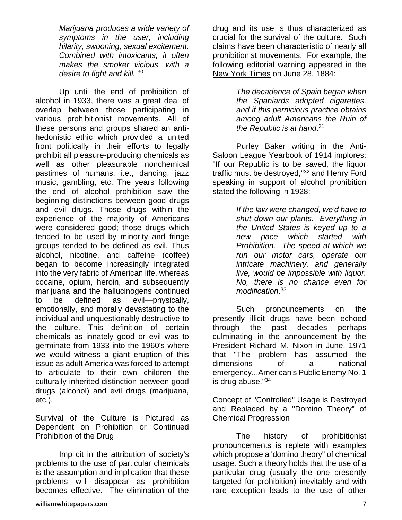*Marijuana produces a wide variety of symptoms in the user, including hilarity, swooning, sexual excitement. Combined with intoxicants, it often makes the smoker vicious, with a desire to fight and kill.* <sup>30</sup>

Up until the end of prohibition of alcohol in 1933, there was a great deal of overlap between those participating in various prohibitionist movements. All of these persons and groups shared an antihedonistic ethic which provided a united front politically in their efforts to legally prohibit all pleasure-producing chemicals as well as other pleasurable nonchemical pastimes of humans, i.e., dancing, jazz music, gambling, etc. The years following the end of alcohol prohibition saw the beginning distinctions between good drugs and evil drugs. Those drugs within the experience of the majority of Americans were considered good; those drugs which tended to be used by minority and fringe groups tended to be defined as evil. Thus alcohol, nicotine, and caffeine (coffee) began to become increasingly integrated into the very fabric of American life, whereas cocaine, opium, heroin, and subsequently marijuana and the hallucinogens continued to be defined as evil—physically, emotionally, and morally devastating to the individual and unquestionably destructive to the culture. This definition of certain chemicals as innately good or evil was to germinate from 1933 into the 1960's where we would witness a giant eruption of this issue as adult America was forced to attempt to articulate to their own children the culturally inherited distinction between good drugs (alcohol) and evil drugs (marijuana, etc.).

# Survival of the Culture is Pictured as Dependent on Prohibition or Continued Prohibition of the Drug

Implicit in the attribution of society's problems to the use of particular chemicals is the assumption and implication that these problems will disappear as prohibition becomes effective. The elimination of the

drug and its use is thus characterized as crucial for the survival of the culture. Such claims have been characteristic of nearly all prohibitionist movements. For example, the following editorial warning appeared in the New York Times on June 28, 1884:

> *The decadence of Spain began when the Spaniards adopted cigarettes, and if this pernicious practice obtains among adult Americans the Ruin of the Republic is at hand*. 31

Purley Baker writing in the Anti-Saloon League Yearbook of 1914 implores: "If our Republic is to be saved, the liquor traffic must be destroyed,"<sup>32</sup> and Henry Ford speaking in support of alcohol prohibition stated the following in 1928:

> *If the law were changed, we'd have to shut down our plants. Everything in the United States is keyed up to a new pace which started with Prohibition. The speed at which we run our motor cars, operate our intricate machinery, and generally live, would be impossible with liquor. No, there is no chance even for modification*. 33

Such pronouncements on the presently illicit drugs have been echoed through the past decades perhaps culminating in the announcement by the President Richard M. Nixon in June, 1971 that "The problem has assumed the dimensions of a national emergency...American's Public Enemy No. 1 is drug abuse."34

#### Concept of "Controlled" Usage is Destroyed and Replaced by a "Domino Theory" of Chemical Progression

The history of prohibitionist pronouncements is replete with examples which propose a 'domino theory" of chemical usage. Such a theory holds that the use of a particular drug (usually the one presently targeted for prohibition) inevitably and with rare exception leads to the use of other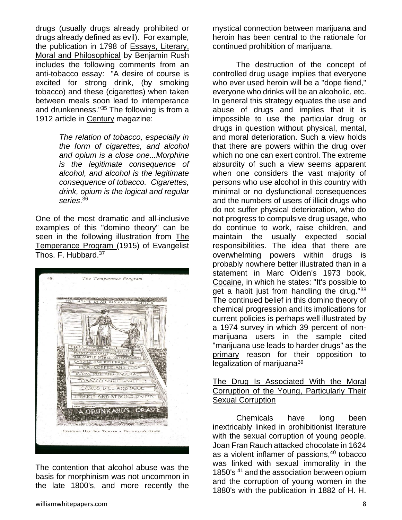drugs (usually drugs already prohibited or drugs already defined as evil). For example, the publication in 1798 of Essays, Literary, Moral and Philosophical by Benjamin Rush includes the following comments from an anti-tobacco essay: "A desire of course is excited for strong drink, (by smoking tobacco) and these (cigarettes) when taken between meals soon lead to intemperance and drunkenness."<sup>35</sup> The following is from a 1912 article in Century magazine:

> *The relation of tobacco, especially in the form of cigarettes, and alcohol and opium is a close one...Morphine is the legitimate consequence of alcohol, and alcohol is the legitimate consequence of tobacco. Cigarettes, drink, opium is the logical and regular series*. 36

One of the most dramatic and all-inclusive examples of this "domino theory" can be seen in the following illustration from The Temperance Program (1915) of Evangelist Thos. F. Hubbard.<sup>37</sup>

| <u> The Constitution of the Constitution of the Constitution of the Constitution of the Constitution of the Constitution of the Constitution of the Constitution of the Constitution of the Constitution of the Constitution of </u><br>THF<br>HOME OF AN INDULGENT MOTHER |  |
|----------------------------------------------------------------------------------------------------------------------------------------------------------------------------------------------------------------------------------------------------------------------------|--|
|                                                                                                                                                                                                                                                                            |  |
|                                                                                                                                                                                                                                                                            |  |
|                                                                                                                                                                                                                                                                            |  |
|                                                                                                                                                                                                                                                                            |  |
|                                                                                                                                                                                                                                                                            |  |
| PIECING BETWEEN MEALS                                                                                                                                                                                                                                                      |  |
| PATENT MEDICINES AND SOUTHING SYRUPS<br>PLENTY OF PICKLES AND PORK                                                                                                                                                                                                         |  |
| MEXICANIZED DISHES AND PEPPER SAUCES<br>CANDIES AND RICH PASRIES                                                                                                                                                                                                           |  |
| TEA, COFFEE AND COCA                                                                                                                                                                                                                                                       |  |
| SODAS, POP AND GINGERALE                                                                                                                                                                                                                                                   |  |
| TOBACCO AND CICARETTES                                                                                                                                                                                                                                                     |  |
| CARDS, DICE AND POOL                                                                                                                                                                                                                                                       |  |
| LIQUOR AND STRONG DRINK                                                                                                                                                                                                                                                    |  |
|                                                                                                                                                                                                                                                                            |  |
|                                                                                                                                                                                                                                                                            |  |
| Moderation of the process                                                                                                                                                                                                                                                  |  |
| STARTING HER SON TOWARD A DRUNKARD'S GRAVE                                                                                                                                                                                                                                 |  |
|                                                                                                                                                                                                                                                                            |  |

The contention that alcohol abuse was the basis for morphinism was not uncommon in the late 1800's, and more recently the

mystical connection between marijuana and heroin has been central to the rationale for continued prohibition of marijuana.

The destruction of the concept of controlled drug usage implies that everyone who ever used heroin will be a "dope fiend," everyone who drinks will be an alcoholic, etc. In general this strategy equates the use and abuse of drugs and implies that it is impossible to use the particular drug or drugs in question without physical, mental, and moral deterioration. Such a view holds that there are powers within the drug over which no one can exert control. The extreme absurdity of such a view seems apparent when one considers the vast majority of persons who use alcohol in this country with minimal or no dysfunctional consequences and the numbers of users of illicit drugs who do not suffer physical deterioration, who do not progress to compulsive drug usage, who do continue to work, raise children, and maintain the usually expected social responsibilities. The idea that there are overwhelming powers within drugs is probably nowhere better illustrated than in a statement in Marc Olden's 1973 book, Cocaine, in which he states: "It's possible to get a habit just from handling the drug."<sup>38</sup> The continued belief in this domino theory of chemical progression and its implications for current policies is perhaps well illustrated by a 1974 survey in which 39 percent of nonmarijuana users in the sample cited "marijuana use leads to harder drugs" as the primary reason for their opposition to legalization of marijuana<sup>39</sup>

#### The Drug Is Associated With the Moral Corruption of the Young, Particularly Their Sexual Corruption

Chemicals have long been inextricably linked in prohibitionist literature with the sexual corruption of young people. Joan Fran Rauch attacked chocolate in 1624 as a violent inflamer of passions, $40$  tobacco was linked with sexual immorality in the 1850's <sup>41</sup> and the association between opium and the corruption of young women in the 1880's with the publication in 1882 of H. H.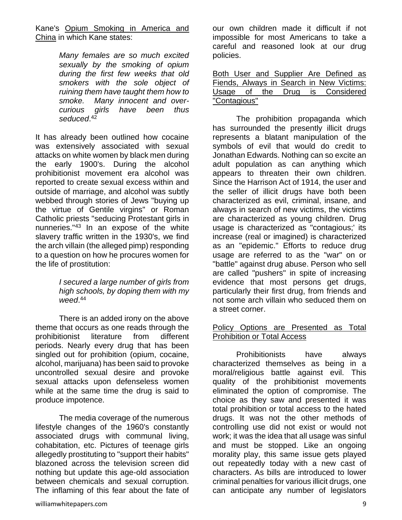Kane's Opium Smoking in America and China in which Kane states:

> *Many females are so much excited sexually by the smoking of opium during the first few weeks that old smokers with the sole object of ruining them have taught them how to smoke. Many innocent and overcurious girls have been thus seduced*. 42

It has already been outlined how cocaine was extensively associated with sexual attacks on white women by black men during the early 1900's. During the alcohol prohibitionist movement era alcohol was reported to create sexual excess within and outside of marriage, and alcohol was subtly webbed through stories of Jews "buying up the virtue of Gentile virgins" or Roman Catholic priests "seducing Protestant girls in nunneries."<sup>43</sup> In an expose of the white slavery traffic written in the 1930's, we find the arch villain (the alleged pimp) responding to a question on how he procures women for the life of prostitution:

> *I secured a large number of girls from high schools, by doping them with my weed*. 44

There is an added irony on the above theme that occurs as one reads through the prohibitionist literature from different periods. Nearly every drug that has been singled out for prohibition (opium, cocaine, alcohol, marijuana) has been said to provoke uncontrolled sexual desire and provoke sexual attacks upon defenseless women while at the same time the drug is said to produce impotence.

The media coverage of the numerous lifestyle changes of the 1960's constantly associated drugs with communal living, cohabitation, etc. Pictures of teenage girls allegedly prostituting to "support their habits" blazoned across the television screen did nothing but update this age-old association between chemicals and sexual corruption. The inflaming of this fear about the fate of our own children made it difficult if not impossible for most Americans to take a careful and reasoned look at our drug policies.

| Both User and Supplier Are Defined as    |  |  |  |  |  |  |  |  |  |  |
|------------------------------------------|--|--|--|--|--|--|--|--|--|--|
| Fiends, Always in Search in New Victims: |  |  |  |  |  |  |  |  |  |  |
| Usage of the Drug is Considered          |  |  |  |  |  |  |  |  |  |  |
| "Contagious"                             |  |  |  |  |  |  |  |  |  |  |

The prohibition propaganda which has surrounded the presently illicit drugs represents a blatant manipulation of the symbols of evil that would do credit to Jonathan Edwards. Nothing can so excite an adult population as can anything which appears to threaten their own children. Since the Harrison Act of 1914, the user and the seller of illicit drugs have both been characterized as evil, criminal, insane, and always in search of new victims, the victims are characterized as young children. Drug usage is characterized as "contagious;' its increase (real or imagined) is characterized as an "epidemic." Efforts to reduce drug usage are referred to as the "war" on or "battle" against drug abuse. Person who sell are called "pushers" in spite of increasing evidence that most persons get drugs, particularly their first drug, from friends and not some arch villain who seduced them on a street corner.

#### Policy Options are Presented as Total Prohibition or Total Access

Prohibitionists have always characterized themselves as being in a moral/religious battle against evil. This quality of the prohibitionist movements eliminated the option of compromise. The choice as they saw and presented it was total prohibition or total access to the hated drugs. It was not the other methods of controlling use did not exist or would not work; it was the idea that all usage was sinful and must be stopped. Like an ongoing morality play, this same issue gets played out repeatedly today with a new cast of characters. As bills are introduced to lower criminal penalties for various illicit drugs, one can anticipate any number of legislators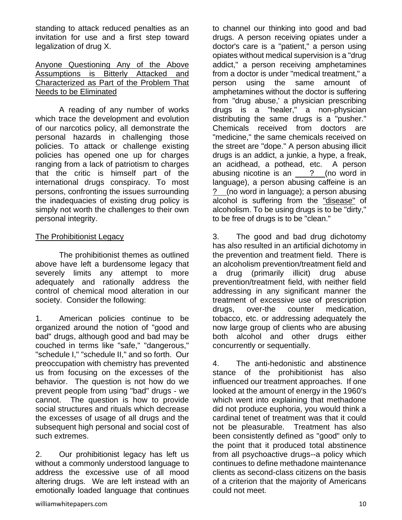standing to attack reduced penalties as an invitation for use and a first step toward legalization of drug X.

#### Anyone Questioning Any of the Above Assumptions is Bitterly Attacked and Characterized as Part of the Problem That Needs to be Eliminated

A reading of any number of works which trace the development and evolution of our narcotics policy, all demonstrate the personal hazards in challenging those policies. To attack or challenge existing policies has opened one up for charges ranging from a lack of patriotism to charges that the critic is himself part of the international drugs conspiracy. To most persons, confronting the issues surrounding the inadequacies of existing drug policy is simply not worth the challenges to their own personal integrity.

#### The Prohibitionist Legacy

The prohibitionist themes as outlined above have left a burdensome legacy that severely limits any attempt to more adequately and rationally address the control of chemical mood alteration in our society. Consider the following:

1. American policies continue to be organized around the notion of "good and bad" drugs, although good and bad may be couched in terms like "safe," "dangerous," "schedule I," "schedule II," and so forth. Our preoccupation with chemistry has prevented us from focusing on the excesses of the behavior. The question is not how do we prevent people from using "bad" drugs - we cannot. The question is how to provide social structures and rituals which decrease the excesses of usage of all drugs and the subsequent high personal and social cost of such extremes.

2. Our prohibitionist legacy has left us without a commonly understood language to address the excessive use of all mood altering drugs. We are left instead with an emotionally loaded language that continues

to channel our thinking into good and bad drugs. A person receiving opiates under a doctor's care is a "patient," a person using opiates without medical supervision is a "drug addict," a person receiving amphetamines from a doctor is under "medical treatment," a person using the same amount of amphetamines without the doctor is suffering from "drug abuse,' a physician prescribing drugs is a "healer," a non-physician distributing the same drugs is a "pusher." Chemicals received from doctors are "medicine," the same chemicals received on the street are "dope." A person abusing illicit drugs is an addict, a junkie, a hype, a freak, an acidhead, a pothead, etc. A person abusing nicotine is an ? (no word in language), a person abusing caffeine is an ? (no word in language); a person abusing alcohol is suffering from the "disease" of alcoholism. To be using drugs is to be "dirty," to be free of drugs is to be "clean."

3. The good and bad drug dichotomy has also resulted in an artificial dichotomy in the prevention and treatment field. There is an alcoholism prevention/treatment field and a drug (primarily illicit) drug abuse prevention/treatment field, with neither field addressing in any significant manner the treatment of excessive use of prescription drugs, over-the counter medication, tobacco, etc. or addressing adequately the now large group of clients who are abusing both alcohol and other drugs either concurrently or sequentially.

4. The anti-hedonistic and abstinence stance of the prohibitionist has also influenced our treatment approaches. If one looked at the amount of energy in the 1960's which went into explaining that methadone did not produce euphoria, you would think a cardinal tenet of treatment was that it could not be pleasurable. Treatment has also been consistently defined as "good" only to the point that it produced total abstinence from all psychoactive drugs--a policy which continues to define methadone maintenance clients as second-class citizens on the basis of a criterion that the majority of Americans could not meet.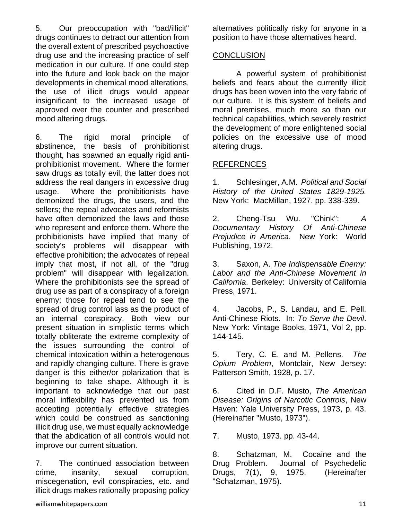5. Our preoccupation with "bad/illicit" drugs continues to detract our attention from the overall extent of prescribed psychoactive drug use and the increasing practice of self medication in our culture. If one could step into the future and look back on the major developments in chemical mood alterations, the use of illicit drugs would appear insignificant to the increased usage of approved over the counter and prescribed mood altering drugs.

6. The rigid moral principle of abstinence, the basis of prohibitionist thought, has spawned an equally rigid antiprohibitionist movement. Where the former saw drugs as totally evil, the latter does not address the real dangers in excessive drug usage. Where the prohibitionists have demonized the drugs, the users, and the sellers; the repeal advocates and reformists have often demonized the laws and those who represent and enforce them. Where the prohibitionists have implied that many of society's problems will disappear with effective prohibition; the advocates of repeal imply that most, if not all, of the "drug problem" will disappear with legalization. Where the prohibitionists see the spread of drug use as part of a conspiracy of a foreign enemy; those for repeal tend to see the spread of drug control lass as the product of an internal conspiracy. Both view our present situation in simplistic terms which totally obliterate the extreme complexity of the issues surrounding the control of chemical intoxication within a heterogenous and rapidly changing culture. There is grave danger is this either/or polarization that is beginning to take shape. Although it is important to acknowledge that our past moral inflexibility has prevented us from accepting potentially effective strategies which could be construed as sanctioning illicit drug use, we must equally acknowledge that the abdication of all controls would not improve our current situation.

7. The continued association between crime, insanity, sexual corruption, miscegenation, evil conspiracies, etc. and illicit drugs makes rationally proposing policy alternatives politically risky for anyone in a position to have those alternatives heard.

#### **CONCLUSION**

A powerful system of prohibitionist beliefs and fears about the currently illicit drugs has been woven into the very fabric of our culture. It is this system of beliefs and moral premises, much more so than our technical capabilities, which severely restrict the development of more enlightened social policies on the excessive use of mood altering drugs.

# REFERENCES

1. Schlesinger, A.M. *Political and Social History of the United States 1829-1925.*  New York: MacMillan, 1927. pp. 338-339.

2. Cheng-Tsu Wu. "Chink": *A Documentary History Of Anti-Chinese Prejudice in America.* New York: World Publishing, 1972.

3. Saxon, A. *The Indispensable Enemy: Labor and the Anti-Chinese Movement in California*. Berkeley: University of California Press, 1971.

4. Jacobs, P., S. Landau, and E. Pell. Anti-Chinese Riots. In: *To Serve the Devil*. New York: Vintage Books, 1971, Vol 2, pp. 144-145.

5. Tery, C. E. and M. Pellens. *The Opium Problem*, Montclair, New Jersey: Patterson Smith, 1928, p. 17.

6. Cited in D.F. Musto, *The American Disease: Origins of Narcotic Controls*, New Haven: Yale University Press, 1973, p. 43. (Hereinafter "Musto, 1973").

7. Musto, 1973. pp. 43-44.

8. Schatzman, M. Cocaine and the Drug Problem. Journal of Psychedelic Drugs, 7(1), 9, 1975. (Hereinafter "Schatzman, 1975).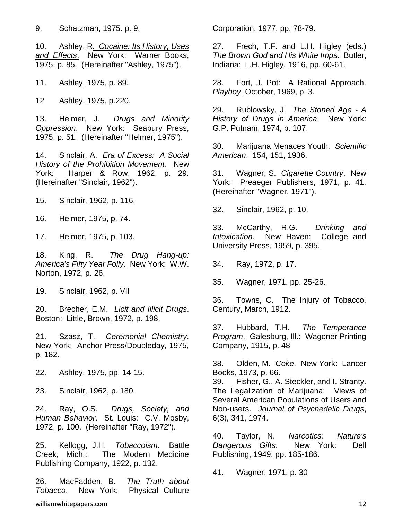10. Ashley, R*. Cocaine: Its History, Uses and Effects*. New York: Warner Books, 1975, p. 85. (Hereinafter "Ashley, 1975").

11. Ashley, 1975, p. 89.

12 Ashley, 1975, p.220.

13. Helmer, J. *Drugs and Minority Oppression*. New York: Seabury Press, 1975, p. 51. (Hereinafter "Helmer, 1975").

14. Sinclair, A. *Era of Excess: A Social History of the Prohibition Movement.* New York: Harper & Row. 1962, p. 29. (Hereinafter "Sinclair, 1962").

15. Sinclair, 1962, p. 116.

16. Helmer, 1975, p. 74.

17. Helmer, 1975, p. 103.

18. King, R. *The Drug Hang-up: America's Fifty Year Folly*. New York: W.W. Norton, 1972, p. 26.

19. Sinclair, 1962, p. VII

20. Brecher, E.M. *Licit and Illicit Drugs*. Boston: Little, Brown, 1972, p. 198.

21. Szasz, T. *Ceremonial Chemistry*. New York: Anchor Press/Doubleday, 1975, p. 182.

22. Ashley, 1975, pp. 14-15.

23. Sinclair, 1962, p. 180.

24. Ray, O.S. *Drugs, Society, and Human Behavior*. St. Louis: C.V. Mosby, 1972, p. 100. (Hereinafter "Ray, 1972").

25. Kellogg, J.H. *Tobaccoism*. Battle Creek, Mich.: The Modern Medicine Publishing Company, 1922, p. 132.

26. MacFadden, B. *The Truth about Tobacco*. New York: Physical Culture

Corporation, 1977, pp. 78-79.

27. Frech, T.F. and L.H. Higley (eds.) *The Brown God and His White Imps*. Butler, Indiana: L.H. Higley, 1916, pp. 60-61.

28. Fort, J. Pot: A Rational Approach. *Playboy*, October, 1969, p. 3.

29. Rublowsky, J. *The Stoned Age - A History of Drugs in America*. New York: G.P. Putnam, 1974, p. 107.

30. Marijuana Menaces Youth. *Scientific American*. 154, 151, 1936.

31. Wagner, S. *Cigarette Country*. New York: Preaeger Publishers, 1971, p. 41. (Hereinafter "Wagner, 1971").

32. Sinclair, 1962, p. 10.

33. McCarthy, R.G. *Drinking and Intoxication*. New Haven: College and University Press, 1959, p. 395.

34. Ray, 1972, p. 17.

35. Wagner, 1971. pp. 25-26.

36. Towns, C. The Injury of Tobacco. Century, March, 1912.

37. Hubbard, T.H. *The Temperance Program*. Galesburg, Ill.: Wagoner Printing Company, 1915, p. 48

38. Olden, M. *Coke*. New York: Lancer Books, 1973, p. 66.

39. Fisher, G., A. Steckler, and I. Stranty. The Legalization of Marijuana: Views of Several American Populations of Users and Non-users. *Journal of Psychedelic Drugs*, 6(3), 341, 1974.

40. Taylor, N. *Narcotics: Nature's Dangerous Gifts*. New York: Dell Publishing, 1949, pp. 185-186.

41. Wagner, 1971, p. 30